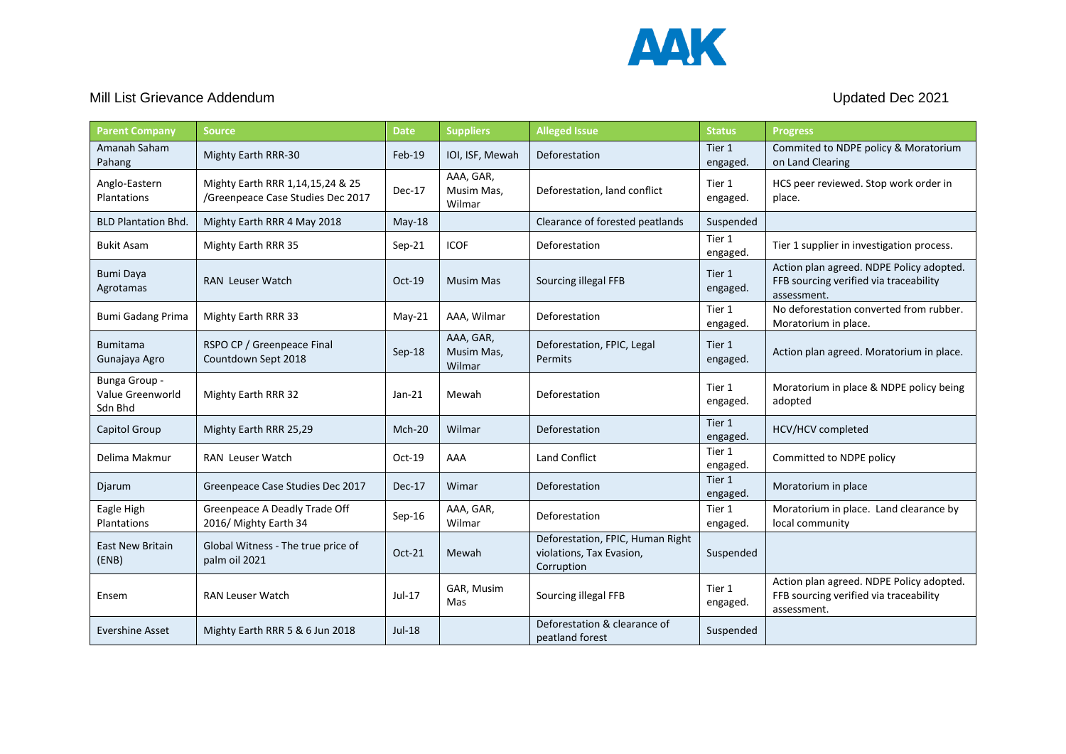

## Mill List Grievance Addendum and the state of the state of the Updated Dec 2021

| <b>Parent Company</b>                        | <b>Source</b>                                                         | <b>Date</b> | <b>Suppliers</b>                  | <b>Alleged Issue</b>                                                       | <b>Status</b>      | <b>Progress</b>                                                                                   |
|----------------------------------------------|-----------------------------------------------------------------------|-------------|-----------------------------------|----------------------------------------------------------------------------|--------------------|---------------------------------------------------------------------------------------------------|
| Amanah Saham<br>Pahang                       | Mighty Earth RRR-30                                                   | Feb-19      | IOI, ISF, Mewah                   | Deforestation                                                              | Tier 1<br>engaged. | Commited to NDPE policy & Moratorium<br>on Land Clearing                                          |
| Anglo-Eastern<br>Plantations                 | Mighty Earth RRR 1,14,15,24 & 25<br>/Greenpeace Case Studies Dec 2017 | Dec-17      | AAA, GAR,<br>Musim Mas,<br>Wilmar | Deforestation, land conflict                                               | Tier 1<br>engaged. | HCS peer reviewed. Stop work order in<br>place.                                                   |
| <b>BLD Plantation Bhd.</b>                   | Mighty Earth RRR 4 May 2018                                           | May-18      |                                   | Clearance of forested peatlands                                            | Suspended          |                                                                                                   |
| <b>Bukit Asam</b>                            | Mighty Earth RRR 35                                                   | Sep-21      | <b>ICOF</b>                       | Deforestation                                                              | Tier 1<br>engaged. | Tier 1 supplier in investigation process.                                                         |
| <b>Bumi Daya</b><br>Agrotamas                | <b>RAN</b> Leuser Watch                                               | $Oct-19$    | Musim Mas                         | Sourcing illegal FFB                                                       | Tier 1<br>engaged. | Action plan agreed. NDPE Policy adopted.<br>FFB sourcing verified via traceability<br>assessment. |
| <b>Bumi Gadang Prima</b>                     | Mighty Earth RRR 33                                                   | $May-21$    | AAA, Wilmar                       | Deforestation                                                              | Tier 1<br>engaged. | No deforestation converted from rubber.<br>Moratorium in place.                                   |
| <b>Bumitama</b><br>Gunajaya Agro             | RSPO CP / Greenpeace Final<br>Countdown Sept 2018                     | Sep-18      | AAA, GAR,<br>Musim Mas,<br>Wilmar | Deforestation, FPIC, Legal<br><b>Permits</b>                               | Tier 1<br>engaged. | Action plan agreed. Moratorium in place.                                                          |
| Bunga Group -<br>Value Greenworld<br>Sdn Bhd | Mighty Earth RRR 32                                                   | $Jan-21$    | Mewah                             | Deforestation                                                              | Tier 1<br>engaged. | Moratorium in place & NDPE policy being<br>adopted                                                |
| Capitol Group                                | Mighty Earth RRR 25,29                                                | $Mch-20$    | Wilmar                            | Deforestation                                                              | Tier 1<br>engaged. | <b>HCV/HCV</b> completed                                                                          |
| Delima Makmur                                | <b>RAN</b> Leuser Watch                                               | $Oct-19$    | AAA                               | <b>Land Conflict</b>                                                       | Tier 1<br>engaged. | Committed to NDPE policy                                                                          |
| Djarum                                       | Greenpeace Case Studies Dec 2017                                      | Dec-17      | Wimar                             | Deforestation                                                              | Tier 1<br>engaged. | Moratorium in place                                                                               |
| Eagle High<br>Plantations                    | Greenpeace A Deadly Trade Off<br>2016/ Mighty Earth 34                | $Sep-16$    | AAA, GAR,<br>Wilmar               | Deforestation                                                              | Tier 1<br>engaged. | Moratorium in place. Land clearance by<br>local community                                         |
| <b>East New Britain</b><br>(ENB)             | Global Witness - The true price of<br>palm oil 2021                   | $Oct-21$    | Mewah                             | Deforestation, FPIC, Human Right<br>violations, Tax Evasion,<br>Corruption | Suspended          |                                                                                                   |
| Ensem                                        | <b>RAN Leuser Watch</b>                                               | Jul-17      | GAR, Musim<br>Mas                 | Sourcing illegal FFB                                                       | Tier 1<br>engaged. | Action plan agreed. NDPE Policy adopted.<br>FFB sourcing verified via traceability<br>assessment. |
| Evershine Asset                              | Mighty Earth RRR 5 & 6 Jun 2018                                       | $Jul-18$    |                                   | Deforestation & clearance of<br>peatland forest                            | Suspended          |                                                                                                   |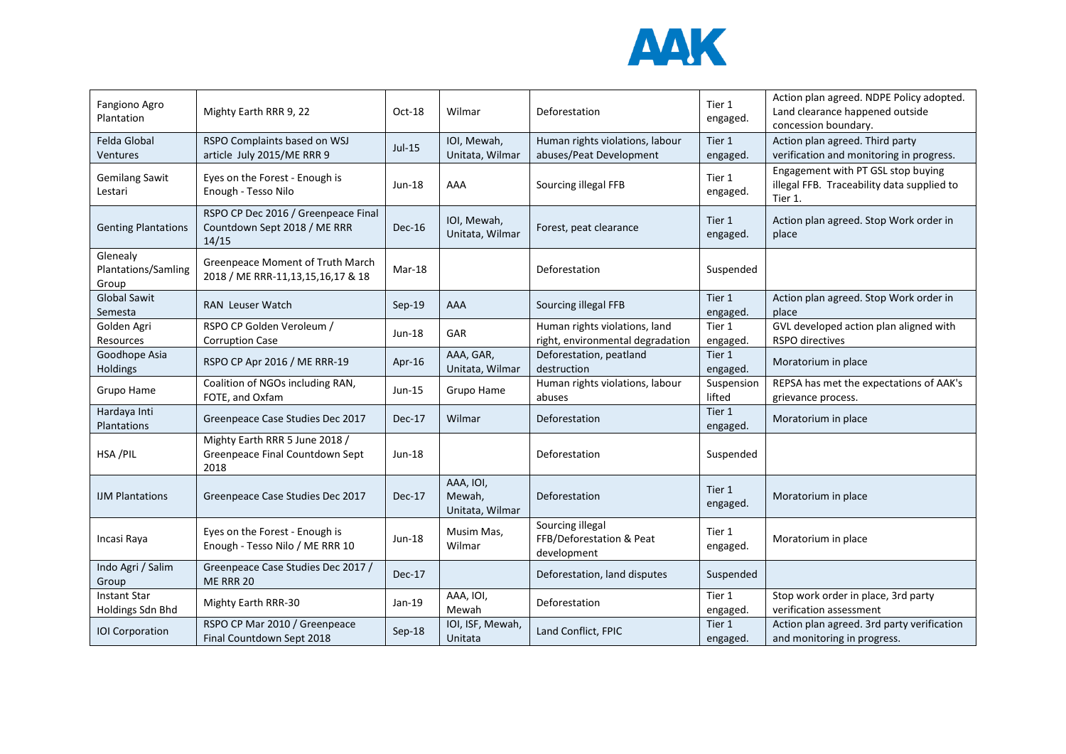

| Fangiono Agro<br>Plantation              | Mighty Earth RRR 9, 22                                                       | $Oct-18$ | Wilmar                                 | Deforestation                                                     | Tier 1<br>engaged.   | Action plan agreed. NDPE Policy adopted.<br>Land clearance happened outside<br>concession boundary. |
|------------------------------------------|------------------------------------------------------------------------------|----------|----------------------------------------|-------------------------------------------------------------------|----------------------|-----------------------------------------------------------------------------------------------------|
| Felda Global<br>Ventures                 | RSPO Complaints based on WSJ<br>article July 2015/ME RRR 9                   | Jul-15   | IOI, Mewah,<br>Unitata, Wilmar         | Human rights violations, labour<br>abuses/Peat Development        | Tier 1<br>engaged.   | Action plan agreed. Third party<br>verification and monitoring in progress.                         |
| <b>Gemilang Sawit</b><br>Lestari         | Eyes on the Forest - Enough is<br>Enough - Tesso Nilo                        | Jun-18   | AAA                                    | Sourcing illegal FFB                                              | Tier 1<br>engaged.   | Engagement with PT GSL stop buying<br>illegal FFB. Traceability data supplied to<br>Tier 1.         |
| <b>Genting Plantations</b>               | RSPO CP Dec 2016 / Greenpeace Final<br>Countdown Sept 2018 / ME RRR<br>14/15 | $Dec-16$ | IOI, Mewah,<br>Unitata, Wilmar         | Forest, peat clearance                                            | Tier 1<br>engaged.   | Action plan agreed. Stop Work order in<br>place                                                     |
| Glenealy<br>Plantations/Samling<br>Group | Greenpeace Moment of Truth March<br>2018 / ME RRR-11,13,15,16,17 & 18        | Mar-18   |                                        | Deforestation                                                     | Suspended            |                                                                                                     |
| <b>Global Sawit</b><br>Semesta           | <b>RAN</b> Leuser Watch                                                      | $Sep-19$ | <b>AAA</b>                             | Sourcing illegal FFB                                              | Tier 1<br>engaged.   | Action plan agreed. Stop Work order in<br>place                                                     |
| Golden Agri<br>Resources                 | RSPO CP Golden Veroleum /<br><b>Corruption Case</b>                          | Jun-18   | GAR                                    | Human rights violations, land<br>right, environmental degradation | Tier 1<br>engaged.   | GVL developed action plan aligned with<br><b>RSPO</b> directives                                    |
| Goodhope Asia<br>Holdings                | RSPO CP Apr 2016 / ME RRR-19                                                 | Apr-16   | AAA, GAR,<br>Unitata, Wilmar           | Deforestation, peatland<br>destruction                            | Tier 1<br>engaged.   | Moratorium in place                                                                                 |
| Grupo Hame                               | Coalition of NGOs including RAN,<br>FOTE, and Oxfam                          | Jun-15   | Grupo Hame                             | Human rights violations, labour<br>abuses                         | Suspension<br>lifted | REPSA has met the expectations of AAK's<br>grievance process.                                       |
| Hardaya Inti<br>Plantations              | Greenpeace Case Studies Dec 2017                                             | Dec-17   | Wilmar                                 | Deforestation                                                     | Tier 1<br>engaged.   | Moratorium in place                                                                                 |
| HSA/PIL                                  | Mighty Earth RRR 5 June 2018 /<br>Greenpeace Final Countdown Sept<br>2018    | Jun-18   |                                        | Deforestation                                                     | Suspended            |                                                                                                     |
| <b>IJM Plantations</b>                   | Greenpeace Case Studies Dec 2017                                             | Dec-17   | AAA, IOI,<br>Mewah,<br>Unitata, Wilmar | Deforestation                                                     | Tier 1<br>engaged.   | Moratorium in place                                                                                 |
| Incasi Raya                              | Eyes on the Forest - Enough is<br>Enough - Tesso Nilo / ME RRR 10            | Jun-18   | Musim Mas,<br>Wilmar                   | Sourcing illegal<br>FFB/Deforestation & Peat<br>development       | Tier 1<br>engaged.   | Moratorium in place                                                                                 |
| Indo Agri / Salim<br>Group               | Greenpeace Case Studies Dec 2017 /<br>ME RRR 20                              | Dec-17   |                                        | Deforestation, land disputes                                      | Suspended            |                                                                                                     |
| <b>Instant Star</b><br>Holdings Sdn Bhd  | Mighty Earth RRR-30                                                          | Jan-19   | AAA, IOI,<br>Mewah                     | Deforestation                                                     | Tier 1<br>engaged.   | Stop work order in place, 3rd party<br>verification assessment                                      |
| <b>IOI Corporation</b>                   | RSPO CP Mar 2010 / Greenpeace<br>Final Countdown Sept 2018                   | $Sep-18$ | IOI, ISF, Mewah,<br>Unitata            | Land Conflict, FPIC                                               | Tier 1<br>engaged.   | Action plan agreed. 3rd party verification<br>and monitoring in progress.                           |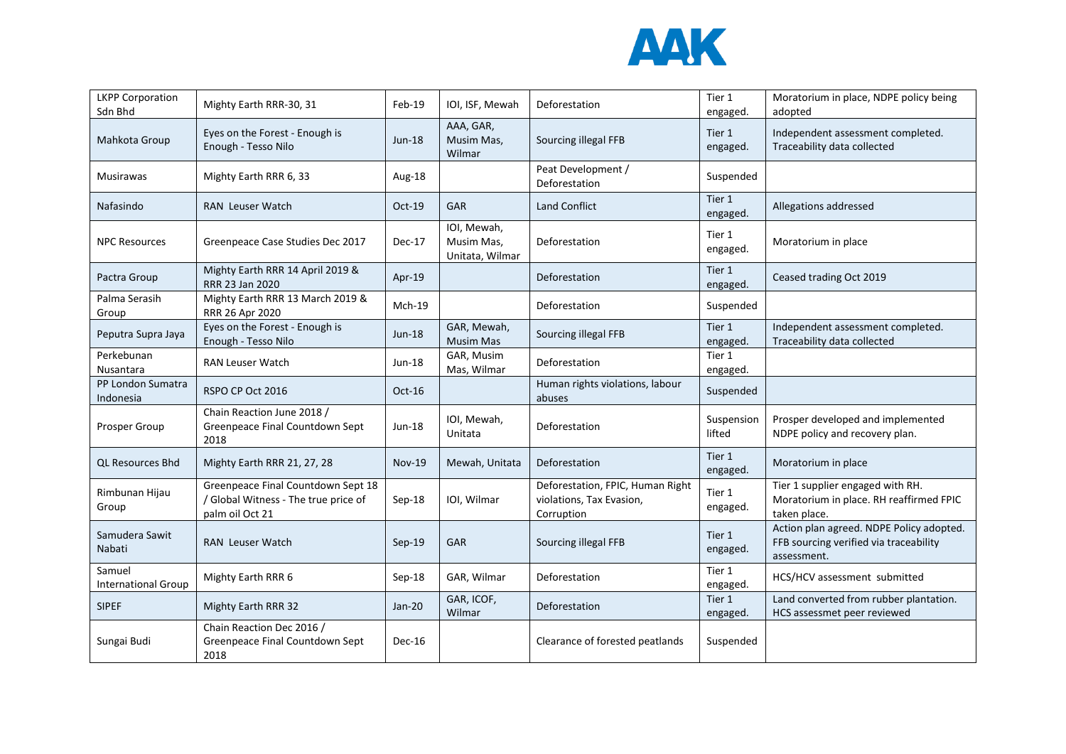

| <b>LKPP Corporation</b><br>Sdn Bhd   | Mighty Earth RRR-30, 31                                                                       | $Feb-19$      | IOI, ISF, Mewah                              | Deforestation                                                              | Tier 1<br>engaged.   | Moratorium in place, NDPE policy being<br>adopted                                                 |
|--------------------------------------|-----------------------------------------------------------------------------------------------|---------------|----------------------------------------------|----------------------------------------------------------------------------|----------------------|---------------------------------------------------------------------------------------------------|
| Mahkota Group                        | Eyes on the Forest - Enough is<br>Enough - Tesso Nilo                                         | Jun-18        | AAA, GAR,<br>Musim Mas,<br>Wilmar            | Sourcing illegal FFB                                                       | Tier 1<br>engaged.   | Independent assessment completed.<br>Traceability data collected                                  |
| Musirawas                            | Mighty Earth RRR 6, 33                                                                        | Aug-18        |                                              | Peat Development /<br>Deforestation                                        | Suspended            |                                                                                                   |
| Nafasindo                            | <b>RAN</b> Leuser Watch                                                                       | Oct-19        | <b>GAR</b>                                   | <b>Land Conflict</b>                                                       | Tier 1<br>engaged.   | Allegations addressed                                                                             |
| <b>NPC Resources</b>                 | Greenpeace Case Studies Dec 2017                                                              | Dec-17        | IOI, Mewah,<br>Musim Mas,<br>Unitata, Wilmar | Deforestation                                                              | Tier 1<br>engaged.   | Moratorium in place                                                                               |
| Pactra Group                         | Mighty Earth RRR 14 April 2019 &<br>RRR 23 Jan 2020                                           | Apr-19        |                                              | Deforestation                                                              | Tier 1<br>engaged.   | Ceased trading Oct 2019                                                                           |
| Palma Serasih<br>Group               | Mighty Earth RRR 13 March 2019 &<br>RRR 26 Apr 2020                                           | $Mch-19$      |                                              | Deforestation                                                              | Suspended            |                                                                                                   |
| Peputra Supra Jaya                   | Eyes on the Forest - Enough is<br>Enough - Tesso Nilo                                         | Jun-18        | GAR, Mewah,<br><b>Musim Mas</b>              | Sourcing illegal FFB                                                       | Tier 1<br>engaged.   | Independent assessment completed.<br>Traceability data collected                                  |
| Perkebunan<br>Nusantara              | <b>RAN Leuser Watch</b>                                                                       | Jun-18        | GAR, Musim<br>Mas, Wilmar                    | Deforestation                                                              | Tier 1<br>engaged.   |                                                                                                   |
| PP London Sumatra<br>Indonesia       | RSPO CP Oct 2016                                                                              | Oct-16        |                                              | Human rights violations, labour<br>abuses                                  | Suspended            |                                                                                                   |
| Prosper Group                        | Chain Reaction June 2018 /<br>Greenpeace Final Countdown Sept<br>2018                         | $Jun-18$      | IOI, Mewah,<br>Unitata                       | Deforestation                                                              | Suspension<br>lifted | Prosper developed and implemented<br>NDPE policy and recovery plan.                               |
| <b>QL Resources Bhd</b>              | Mighty Earth RRR 21, 27, 28                                                                   | <b>Nov-19</b> | Mewah, Unitata                               | Deforestation                                                              | Tier 1<br>engaged.   | Moratorium in place                                                                               |
| Rimbunan Hijau<br>Group              | Greenpeace Final Countdown Sept 18<br>/ Global Witness - The true price of<br>palm oil Oct 21 | Sep-18        | IOI, Wilmar                                  | Deforestation, FPIC, Human Right<br>violations, Tax Evasion,<br>Corruption | Tier 1<br>engaged.   | Tier 1 supplier engaged with RH.<br>Moratorium in place. RH reaffirmed FPIC<br>taken place.       |
| Samudera Sawit<br>Nabati             | <b>RAN</b> Leuser Watch                                                                       | $Sep-19$      | <b>GAR</b>                                   | Sourcing illegal FFB                                                       | Tier 1<br>engaged.   | Action plan agreed. NDPE Policy adopted.<br>FFB sourcing verified via traceability<br>assessment. |
| Samuel<br><b>International Group</b> | Mighty Earth RRR 6                                                                            | $Sep-18$      | GAR, Wilmar                                  | Deforestation                                                              | Tier 1<br>engaged.   | HCS/HCV assessment submitted                                                                      |
| <b>SIPEF</b>                         | <b>Mighty Earth RRR 32</b>                                                                    | $Jan-20$      | GAR, ICOF,<br>Wilmar                         | Deforestation                                                              | Tier 1<br>engaged.   | Land converted from rubber plantation.<br>HCS assessmet peer reviewed                             |
| Sungai Budi                          | Chain Reaction Dec 2016 /<br>Greenpeace Final Countdown Sept<br>2018                          | Dec-16        |                                              | Clearance of forested peatlands                                            | Suspended            |                                                                                                   |